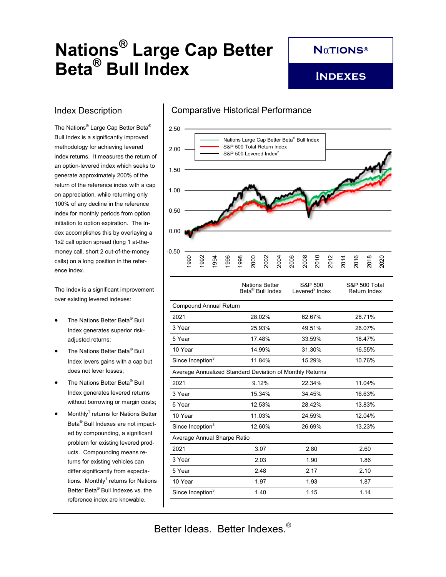# **Nations® Large Cap Better Beta® Bull Index**

**N**α**tions®**

**Indexes**

## Index Description

The Nations® Large Cap Better Beta® Bull Index is a significantly improved methodology for achieving levered index returns. It measures the return of an option-levered index which seeks to generate approximately 200% of the return of the reference index with a cap on appreciation, while returning only 100% of any decline in the reference index for monthly periods from option initiation to option expiration. The Index accomplishes this by overlaying a 1x2 call option spread (long 1 at-themoney call, short 2 out-of-the-money calls) on a long position in the reference index.

The Index is a significant improvement over existing levered indexes:

- The Nations Better Beta® Bull Index generates superior riskadjusted returns;
- The Nations Better Beta® Bull Index levers gains with a cap but does not lever losses;
- The Nations Better Beta® Bull Index generates levered returns without borrowing or margin costs;
- $\bullet$  Monthly<sup>1</sup> returns for Nations Better Beta® Bull Indexes are not impacted by compounding, a significant problem for existing levered products. Compounding means returns for existing vehicles can differ significantly from expectations. Monthly ${}^{1}$  returns for Nations Better Beta® Bull Indexes vs. the reference index are knowable.

#### Comparative Historical Performance



|                                                          | <b>Nations Better</b><br>Beta <sup>®</sup> Bull Index | S&P 500<br>Levered <sup>2</sup> Index | S&P 500 Total<br>Return Index |  |  |
|----------------------------------------------------------|-------------------------------------------------------|---------------------------------------|-------------------------------|--|--|
| <b>Compound Annual Return</b>                            |                                                       |                                       |                               |  |  |
| 2021                                                     | 28.02%                                                | 62.67%                                | 28.71%                        |  |  |
| 3 Year                                                   | 25.93%                                                | 49.51%                                | 26.07%                        |  |  |
| 5 Year                                                   | 17.48%                                                | 33.59%                                | 18.47%                        |  |  |
| 10 Year                                                  | 14.99%                                                | 31.30%                                | 16.55%                        |  |  |
| Since Inception <sup>3</sup>                             | 11.84%                                                | 15.29%                                | 10.76%                        |  |  |
| Average Annualized Standard Deviation of Monthly Returns |                                                       |                                       |                               |  |  |
| 2021                                                     | 9.12%                                                 | 22.34%                                | 11.04%                        |  |  |
| 3 Year                                                   | 15.34%                                                | 34.45%                                | 16.63%                        |  |  |
| 5 Year                                                   | 12.53%                                                | 28.42%                                | 13.83%                        |  |  |
| 10 Year                                                  | 11.03%                                                | 24.59%                                | 12.04%                        |  |  |
| Since Inception <sup>3</sup>                             | 12.60%                                                | 26.69%                                | 13.23%                        |  |  |
| Average Annual Sharpe Ratio                              |                                                       |                                       |                               |  |  |
| 2021                                                     | 3.07                                                  | 2.80                                  | 2.60                          |  |  |
| 3 Year                                                   | 2.03                                                  | 1.90                                  | 1.86                          |  |  |
| 5 Year                                                   | 2.48                                                  | 2.17                                  | 2.10                          |  |  |
| 10 Year                                                  | 1.97                                                  | 1.93                                  | 1.87                          |  |  |
| Since Inception <sup>3</sup>                             | 1.40                                                  | 1.15                                  | 1.14                          |  |  |

Better Ideas. Better Indexes.®